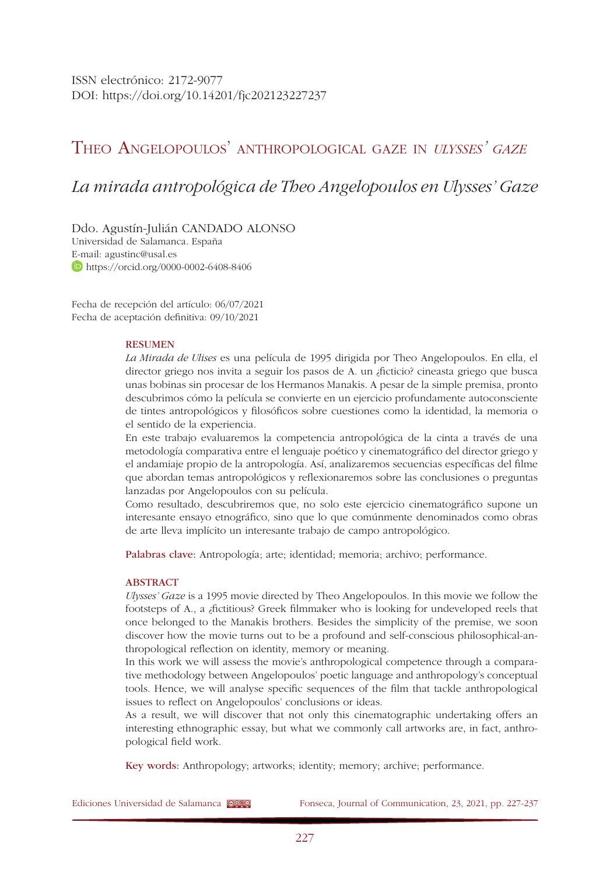ISSN electrónico: 2172-9077 DOI: <https://doi.org/10.14201/fjc202123227237>

## Theo Angelopoulos' anthropological gaze in *ulysses' gaze*

# *La mirada antropológica de Theo Angelopoulos en Ulysses' Gaze*

Ddo. Agustín-Julián CANDADO ALONSO Universidad de Salamanca. España E-mail: [agustinc@usal.es](mailto:agustinc@usal.es)  <https://orcid.org/0000-0002-6408-8406>

Fecha de recepción del artículo: 06/07/2021 Fecha de aceptación definitiva: 09/10/2021

#### RESUMEN

*La Mirada de Ulises* es una película de 1995 dirigida por Theo Angelopoulos. En ella, el director griego nos invita a seguir los pasos de A. un ¿ficticio? cineasta griego que busca unas bobinas sin procesar de los Hermanos Manakis. A pesar de la simple premisa, pronto descubrimos cómo la película se convierte en un ejercicio profundamente autoconsciente de tintes antropológicos y filosóficos sobre cuestiones como la identidad, la memoria o el sentido de la experiencia.

En este trabajo evaluaremos la competencia antropológica de la cinta a través de una metodología comparativa entre el lenguaje poético y cinematográfico del director griego y el andamiaje propio de la antropología. Así, analizaremos secuencias específicas del filme que abordan temas antropológicos y reflexionaremos sobre las conclusiones o preguntas lanzadas por Angelopoulos con su película.

Como resultado, descubriremos que, no solo este ejercicio cinematográfico supone un interesante ensayo etnográfico, sino que lo que comúnmente denominados como obras de arte lleva implícito un interesante trabajo de campo antropológico.

Palabras clave: Antropología; arte; identidad; memoria; archivo; performance.

#### ABSTRACT

*Ulysses' Gaze* is a 1995 movie directed by Theo Angelopoulos. In this movie we follow the footsteps of A., a ¿fictitious? Greek filmmaker who is looking for undeveloped reels that once belonged to the Manakis brothers. Besides the simplicity of the premise, we soon discover how the movie turns out to be a profound and self-conscious philosophical-anthropological reflection on identity, memory or meaning.

In this work we will assess the movie's anthropological competence through a comparative methodology between Angelopoulos' poetic language and anthropology's conceptual tools. Hence, we will analyse specific sequences of the film that tackle anthropological issues to reflect on Angelopoulos' conclusions or ideas.

As a result, we will discover that not only this cinematographic undertaking offers an interesting ethnographic essay, but what we commonly call artworks are, in fact, anthropological field work.

Key words: Anthropology; artworks; identity; memory; archive; performance.

Ediciones Universidad de Salamanca **COSO** Fonseca, Journal of Communication, 23, 2021, pp. 227-237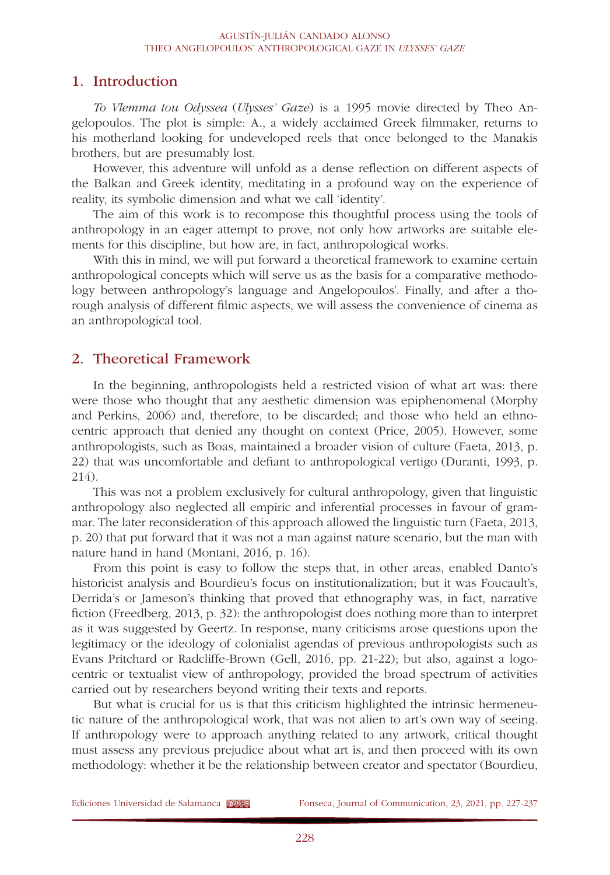## 1. Introduction

*To Vlemma tou Odyssea* (*Ulysses' Gaze*) is a 1995 movie directed by Theo Angelopoulos. The plot is simple: A., a widely acclaimed Greek filmmaker, returns to his motherland looking for undeveloped reels that once belonged to the Manakis brothers, but are presumably lost.

However, this adventure will unfold as a dense reflection on different aspects of the Balkan and Greek identity, meditating in a profound way on the experience of reality, its symbolic dimension and what we call 'identity'.

The aim of this work is to recompose this thoughtful process using the tools of anthropology in an eager attempt to prove, not only how artworks are suitable elements for this discipline, but how are, in fact, anthropological works.

With this in mind, we will put forward a theoretical framework to examine certain anthropological concepts which will serve us as the basis for a comparative methodology between anthropology's language and Angelopoulos'. Finally, and after a thorough analysis of different filmic aspects, we will assess the convenience of cinema as an anthropological tool.

#### 2. Theoretical Framework

In the beginning, anthropologists held a restricted vision of what art was: there were those who thought that any aesthetic dimension was epiphenomenal (Morphy and Perkins, 2006) and, therefore, to be discarded; and those who held an ethnocentric approach that denied any thought on context (Price, 2005). However, some anthropologists, such as Boas, maintained a broader vision of culture (Faeta, 2013, p. 22) that was uncomfortable and defiant to anthropological vertigo (Duranti, 1993, p. 214).

This was not a problem exclusively for cultural anthropology, given that linguistic anthropology also neglected all empiric and inferential processes in favour of grammar. The later reconsideration of this approach allowed the linguistic turn (Faeta, 2013, p. 20) that put forward that it was not a man against nature scenario, but the man with nature hand in hand (Montani, 2016, p. 16).

From this point is easy to follow the steps that, in other areas, enabled Danto's historicist analysis and Bourdieu's focus on institutionalization; but it was Foucault's, Derrida's or Jameson's thinking that proved that ethnography was, in fact, narrative fiction (Freedberg, 2013, p. 32): the anthropologist does nothing more than to interpret as it was suggested by Geertz. In response, many criticisms arose questions upon the legitimacy or the ideology of colonialist agendas of previous anthropologists such as Evans Pritchard or Radcliffe-Brown (Gell, 2016, pp. 21-22); but also, against a logocentric or textualist view of anthropology, provided the broad spectrum of activities carried out by researchers beyond writing their texts and reports.

But what is crucial for us is that this criticism highlighted the intrinsic hermeneutic nature of the anthropological work, that was not alien to art's own way of seeing. If anthropology were to approach anything related to any artwork, critical thought must assess any previous prejudice about what art is, and then proceed with its own methodology: whether it be the relationship between creator and spectator (Bourdieu,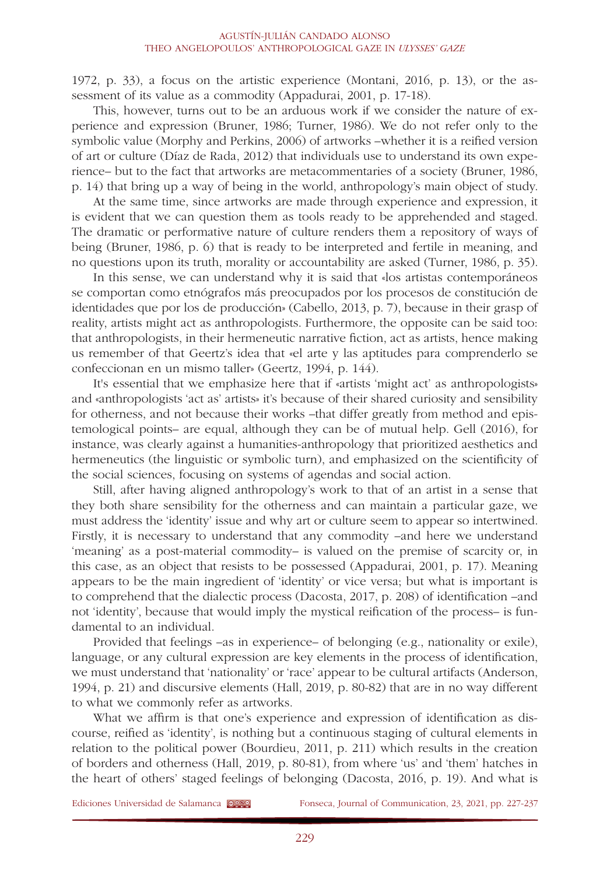1972, p. 33), a focus on the artistic experience (Montani, 2016, p. 13), or the assessment of its value as a commodity (Appadurai, 2001, p. 17-18).

This, however, turns out to be an arduous work if we consider the nature of experience and expression (Bruner, 1986; Turner, 1986). We do not refer only to the symbolic value (Morphy and Perkins, 2006) of artworks –whether it is a reified version of art or culture (Díaz de Rada, 2012) that individuals use to understand its own experience– but to the fact that artworks are metacommentaries of a society (Bruner, 1986, p. 14) that bring up a way of being in the world, anthropology's main object of study.

At the same time, since artworks are made through experience and expression, it is evident that we can question them as tools ready to be apprehended and staged. The dramatic or performative nature of culture renders them a repository of ways of being (Bruner, 1986, p. 6) that is ready to be interpreted and fertile in meaning, and no questions upon its truth, morality or accountability are asked (Turner, 1986, p. 35).

In this sense, we can understand why it is said that «los artistas contemporáneos se comportan como etnógrafos más preocupados por los procesos de constitución de identidades que por los de producción» (Cabello, 2013, p. 7), because in their grasp of reality, artists might act as anthropologists. Furthermore, the opposite can be said too: that anthropologists, in their hermeneutic narrative fiction, act as artists, hence making us remember of that Geertz's idea that «el arte y las aptitudes para comprenderlo se confeccionan en un mismo taller» (Geertz, 1994, p. 144).

It's essential that we emphasize here that if «artists 'might act' as anthropologists» and «anthropologists 'act as' artists» it's because of their shared curiosity and sensibility for otherness, and not because their works –that differ greatly from method and epistemological points– are equal, although they can be of mutual help. Gell (2016), for instance, was clearly against a humanities-anthropology that prioritized aesthetics and hermeneutics (the linguistic or symbolic turn), and emphasized on the scientificity of the social sciences, focusing on systems of agendas and social action.

Still, after having aligned anthropology's work to that of an artist in a sense that they both share sensibility for the otherness and can maintain a particular gaze, we must address the 'identity' issue and why art or culture seem to appear so intertwined. Firstly, it is necessary to understand that any commodity –and here we understand 'meaning' as a post-material commodity– is valued on the premise of scarcity or, in this case, as an object that resists to be possessed (Appadurai, 2001, p. 17). Meaning appears to be the main ingredient of 'identity' or vice versa; but what is important is to comprehend that the dialectic process (Dacosta, 2017, p. 208) of identification –and not 'identity', because that would imply the mystical reification of the process– is fundamental to an individual.

Provided that feelings –as in experience– of belonging (e.g., nationality or exile), language, or any cultural expression are key elements in the process of identification, we must understand that 'nationality' or 'race' appear to be cultural artifacts (Anderson, 1994, p. 21) and discursive elements (Hall, 2019, p. 80-82) that are in no way different to what we commonly refer as artworks.

What we affirm is that one's experience and expression of identification as discourse, reified as 'identity', is nothing but a continuous staging of cultural elements in relation to the political power (Bourdieu, 2011, p. 211) which results in the creation of borders and otherness (Hall, 2019, p. 80-81), from where 'us' and 'them' hatches in the heart of others' staged feelings of belonging (Dacosta, 2016, p. 19). And what is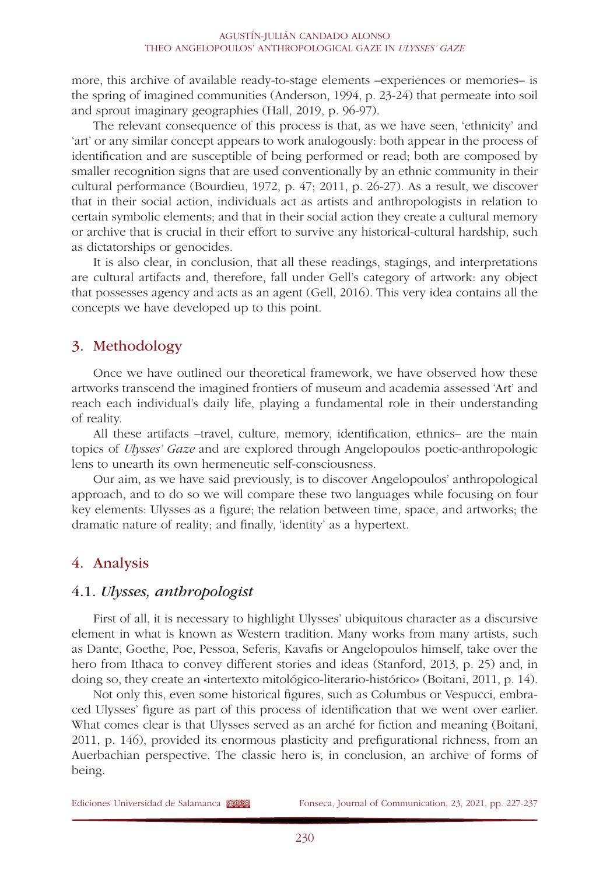more, this archive of available ready-to-stage elements –experiences or memories– is the spring of imagined communities (Anderson, 1994, p. 23-24) that permeate into soil and sprout imaginary geographies (Hall, 2019, p. 96-97).

The relevant consequence of this process is that, as we have seen, 'ethnicity' and 'art' or any similar concept appears to work analogously: both appear in the process of identification and are susceptible of being performed or read; both are composed by smaller recognition signs that are used conventionally by an ethnic community in their cultural performance (Bourdieu, 1972, p. 47; 2011, p. 26-27). As a result, we discover that in their social action, individuals act as artists and anthropologists in relation to certain symbolic elements; and that in their social action they create a cultural memory or archive that is crucial in their effort to survive any historical-cultural hardship, such as dictatorships or genocides.

It is also clear, in conclusion, that all these readings, stagings, and interpretations are cultural artifacts and, therefore, fall under Gell's category of artwork: any object that possesses agency and acts as an agent (Gell, 2016). This very idea contains all the concepts we have developed up to this point.

## 3. Methodology

Once we have outlined our theoretical framework, we have observed how these artworks transcend the imagined frontiers of museum and academia assessed 'Art' and reach each individual's daily life, playing a fundamental role in their understanding of reality.

All these artifacts –travel, culture, memory, identification, ethnics– are the main topics of *Ulysses' Gaze* and are explored through Angelopoulos poetic-anthropologic lens to unearth its own hermeneutic self-consciousness.

Our aim, as we have said previously, is to discover Angelopoulos' anthropological approach, and to do so we will compare these two languages while focusing on four key elements: Ulysses as a figure; the relation between time, space, and artworks; the dramatic nature of reality; and finally, 'identity' as a hypertext.

## 4. Analysis

#### 4.1. *Ulysses, anthropologist*

First of all, it is necessary to highlight Ulysses' ubiquitous character as a discursive element in what is known as Western tradition. Many works from many artists, such as Dante, Goethe, Poe, Pessoa, Seferis, Kavafis or Angelopoulos himself, take over the hero from Ithaca to convey different stories and ideas (Stanford, 2013, p. 25) and, in doing so, they create an «intertexto mitológico-literario-histórico» (Boitani, 2011, p. 14).

Not only this, even some historical figures, such as Columbus or Vespucci, embraced Ulysses' figure as part of this process of identification that we went over earlier. What comes clear is that Ulysses served as an arché for fiction and meaning (Boitani, 2011, p. 146), provided its enormous plasticity and prefigurational richness, from an Auerbachian perspective. The classic hero is, in conclusion, an archive of forms of being.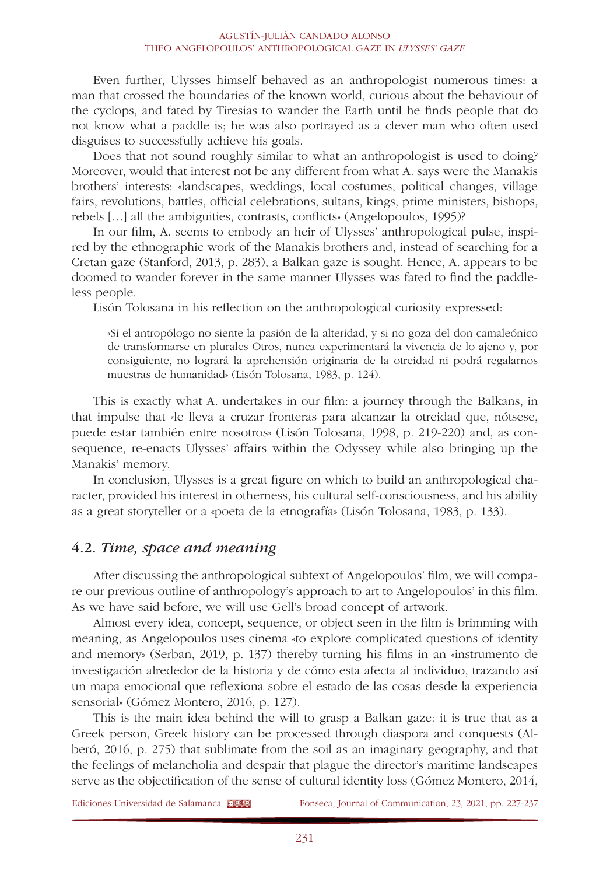Even further, Ulysses himself behaved as an anthropologist numerous times: a man that crossed the boundaries of the known world, curious about the behaviour of the cyclops, and fated by Tiresias to wander the Earth until he finds people that do not know what a paddle is; he was also portrayed as a clever man who often used disguises to successfully achieve his goals.

Does that not sound roughly similar to what an anthropologist is used to doing? Moreover, would that interest not be any different from what A. says were the Manakis brothers' interests: «landscapes, weddings, local costumes, political changes, village fairs, revolutions, battles, official celebrations, sultans, kings, prime ministers, bishops, rebels […] all the ambiguities, contrasts, conflicts» (Angelopoulos, 1995)?

In our film, A. seems to embody an heir of Ulysses' anthropological pulse, inspired by the ethnographic work of the Manakis brothers and, instead of searching for a Cretan gaze (Stanford, 2013, p. 283), a Balkan gaze is sought. Hence, A. appears to be doomed to wander forever in the same manner Ulysses was fated to find the paddleless people.

Lisón Tolosana in his reflection on the anthropological curiosity expressed:

«Si el antropólogo no siente la pasión de la alteridad, y si no goza del don camaleónico de transformarse en plurales Otros, nunca experimentará la vivencia de lo ajeno y, por consiguiente, no logrará la aprehensión originaria de la otreidad ni podrá regalarnos muestras de humanidad» (Lisón Tolosana, 1983, p. 124).

This is exactly what A. undertakes in our film: a journey through the Balkans, in that impulse that «le lleva a cruzar fronteras para alcanzar la otreidad que, nótsese, puede estar también entre nosotros» (Lisón Tolosana, 1998, p. 219-220) and, as consequence, re-enacts Ulysses' affairs within the Odyssey while also bringing up the Manakis' memory.

In conclusion, Ulysses is a great figure on which to build an anthropological character, provided his interest in otherness, his cultural self-consciousness, and his ability as a great storyteller or a «poeta de la etnografía» (Lisón Tolosana, 1983, p. 133).

## 4.2. *Time, space and meaning*

After discussing the anthropological subtext of Angelopoulos' film, we will compare our previous outline of anthropology's approach to art to Angelopoulos' in this film. As we have said before, we will use Gell's broad concept of artwork.

Almost every idea, concept, sequence, or object seen in the film is brimming with meaning, as Angelopoulos uses cinema «to explore complicated questions of identity and memory» (Serban, 2019, p. 137) thereby turning his films in an «instrumento de investigación alrededor de la historia y de cómo esta afecta al individuo, trazando así un mapa emocional que reflexiona sobre el estado de las cosas desde la experiencia sensorial» (Gómez Montero, 2016, p. 127).

This is the main idea behind the will to grasp a Balkan gaze: it is true that as a Greek person, Greek history can be processed through diaspora and conquests (Alberó, 2016, p. 275) that sublimate from the soil as an imaginary geography, and that the feelings of melancholia and despair that plague the director's maritime landscapes serve as the objectification of the sense of cultural identity loss (Gómez Montero, 2014,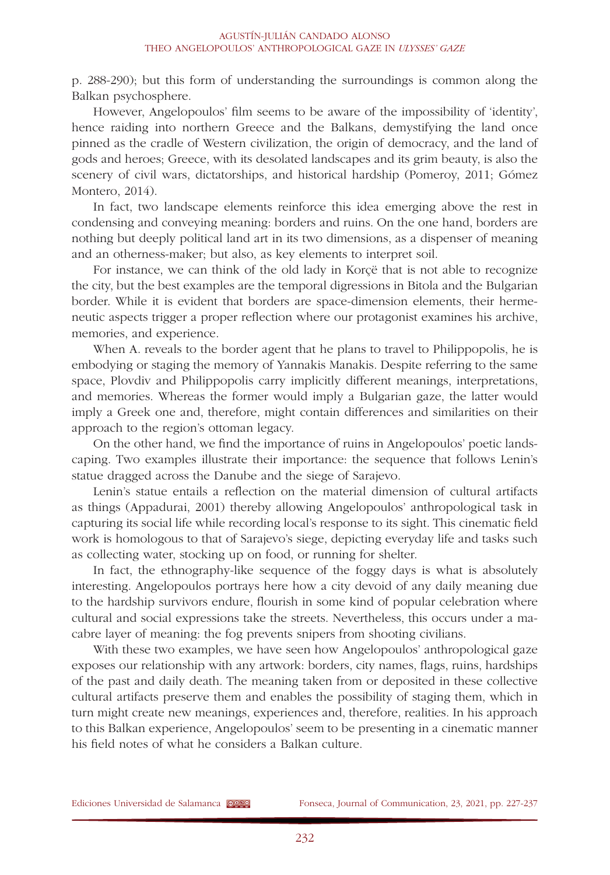p. 288-290); but this form of understanding the surroundings is common along the Balkan psychosphere.

However, Angelopoulos' film seems to be aware of the impossibility of 'identity', hence raiding into northern Greece and the Balkans, demystifying the land once pinned as the cradle of Western civilization, the origin of democracy, and the land of gods and heroes; Greece, with its desolated landscapes and its grim beauty, is also the scenery of civil wars, dictatorships, and historical hardship (Pomeroy, 2011; Gómez Montero, 2014).

In fact, two landscape elements reinforce this idea emerging above the rest in condensing and conveying meaning: borders and ruins. On the one hand, borders are nothing but deeply political land art in its two dimensions, as a dispenser of meaning and an otherness-maker; but also, as key elements to interpret soil.

For instance, we can think of the old lady in Korçë that is not able to recognize the city, but the best examples are the temporal digressions in Bitola and the Bulgarian border. While it is evident that borders are space-dimension elements, their hermeneutic aspects trigger a proper reflection where our protagonist examines his archive, memories, and experience.

When A. reveals to the border agent that he plans to travel to Philippopolis, he is embodying or staging the memory of Yannakis Manakis. Despite referring to the same space, Plovdiv and Philippopolis carry implicitly different meanings, interpretations, and memories. Whereas the former would imply a Bulgarian gaze, the latter would imply a Greek one and, therefore, might contain differences and similarities on their approach to the region's ottoman legacy.

On the other hand, we find the importance of ruins in Angelopoulos' poetic landscaping. Two examples illustrate their importance: the sequence that follows Lenin's statue dragged across the Danube and the siege of Sarajevo.

Lenin's statue entails a reflection on the material dimension of cultural artifacts as things (Appadurai, 2001) thereby allowing Angelopoulos' anthropological task in capturing its social life while recording local's response to its sight. This cinematic field work is homologous to that of Sarajevo's siege, depicting everyday life and tasks such as collecting water, stocking up on food, or running for shelter.

In fact, the ethnography-like sequence of the foggy days is what is absolutely interesting. Angelopoulos portrays here how a city devoid of any daily meaning due to the hardship survivors endure, flourish in some kind of popular celebration where cultural and social expressions take the streets. Nevertheless, this occurs under a macabre layer of meaning: the fog prevents snipers from shooting civilians.

With these two examples, we have seen how Angelopoulos' anthropological gaze exposes our relationship with any artwork: borders, city names, flags, ruins, hardships of the past and daily death. The meaning taken from or deposited in these collective cultural artifacts preserve them and enables the possibility of staging them, which in turn might create new meanings, experiences and, therefore, realities. In his approach to this Balkan experience, Angelopoulos' seem to be presenting in a cinematic manner his field notes of what he considers a Balkan culture.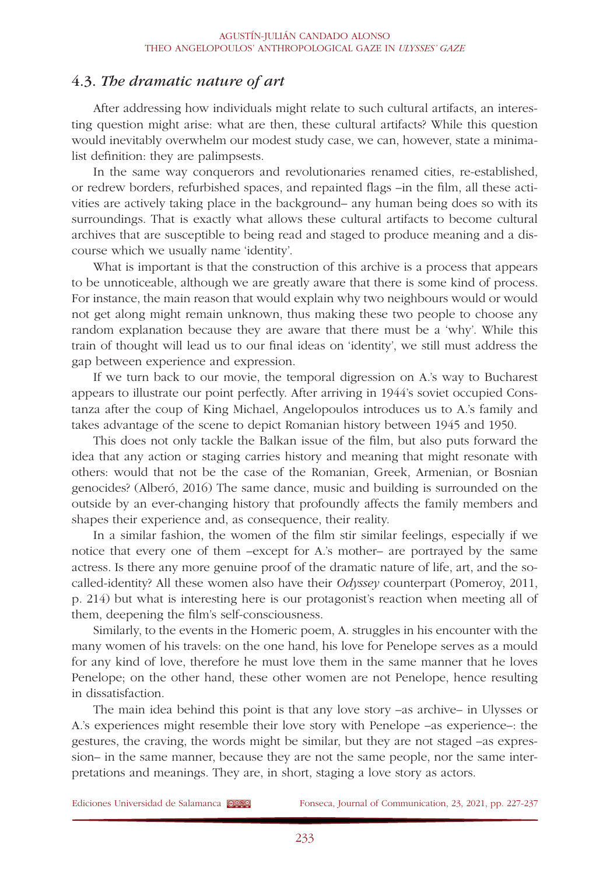### 4.3. *The dramatic nature of art*

After addressing how individuals might relate to such cultural artifacts, an interesting question might arise: what are then, these cultural artifacts? While this question would inevitably overwhelm our modest study case, we can, however, state a minimalist definition: they are palimpsests.

In the same way conquerors and revolutionaries renamed cities, re-established, or redrew borders, refurbished spaces, and repainted flags –in the film, all these activities are actively taking place in the background– any human being does so with its surroundings. That is exactly what allows these cultural artifacts to become cultural archives that are susceptible to being read and staged to produce meaning and a discourse which we usually name 'identity'.

What is important is that the construction of this archive is a process that appears to be unnoticeable, although we are greatly aware that there is some kind of process. For instance, the main reason that would explain why two neighbours would or would not get along might remain unknown, thus making these two people to choose any random explanation because they are aware that there must be a 'why'. While this train of thought will lead us to our final ideas on 'identity', we still must address the gap between experience and expression.

If we turn back to our movie, the temporal digression on A.'s way to Bucharest appears to illustrate our point perfectly. After arriving in 1944's soviet occupied Constanza after the coup of King Michael, Angelopoulos introduces us to A.'s family and takes advantage of the scene to depict Romanian history between 1945 and 1950.

This does not only tackle the Balkan issue of the film, but also puts forward the idea that any action or staging carries history and meaning that might resonate with others: would that not be the case of the Romanian, Greek, Armenian, or Bosnian genocides? (Alberó, 2016) The same dance, music and building is surrounded on the outside by an ever-changing history that profoundly affects the family members and shapes their experience and, as consequence, their reality.

In a similar fashion, the women of the film stir similar feelings, especially if we notice that every one of them –except for A.'s mother– are portrayed by the same actress. Is there any more genuine proof of the dramatic nature of life, art, and the socalled-identity? All these women also have their *Odyssey* counterpart (Pomeroy, 2011, p. 214) but what is interesting here is our protagonist's reaction when meeting all of them, deepening the film's self-consciousness.

Similarly, to the events in the Homeric poem, A. struggles in his encounter with the many women of his travels: on the one hand, his love for Penelope serves as a mould for any kind of love, therefore he must love them in the same manner that he loves Penelope; on the other hand, these other women are not Penelope, hence resulting in dissatisfaction.

The main idea behind this point is that any love story –as archive– in Ulysses or A.'s experiences might resemble their love story with Penelope –as experience–: the gestures, the craving, the words might be similar, but they are not staged –as expression– in the same manner, because they are not the same people, nor the same interpretations and meanings. They are, in short, staging a love story as actors.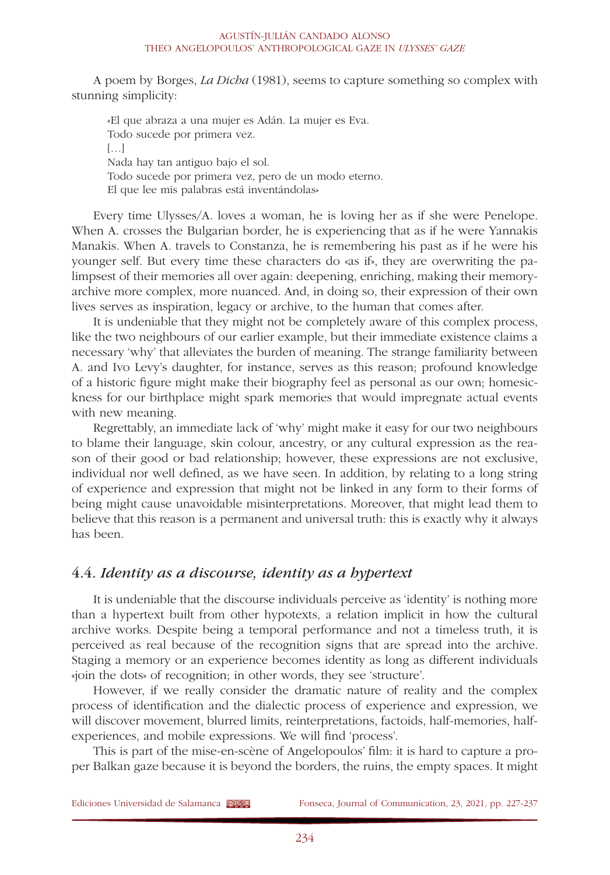A poem by Borges, *La Dicha* (1981), seems to capture something so complex with stunning simplicity:

«El que abraza a una mujer es Adán. La mujer es Eva. Todo sucede por primera vez.  $[...]$ Nada hay tan antiguo bajo el sol. Todo sucede por primera vez, pero de un modo eterno. El que lee mis palabras está inventándolas»

Every time Ulysses/A. loves a woman, he is loving her as if she were Penelope. When A. crosses the Bulgarian border, he is experiencing that as if he were Yannakis Manakis. When A. travels to Constanza, he is remembering his past as if he were his younger self. But every time these characters do «as if», they are overwriting the palimpsest of their memories all over again: deepening, enriching, making their memoryarchive more complex, more nuanced. And, in doing so, their expression of their own lives serves as inspiration, legacy or archive, to the human that comes after.

It is undeniable that they might not be completely aware of this complex process, like the two neighbours of our earlier example, but their immediate existence claims a necessary 'why' that alleviates the burden of meaning. The strange familiarity between A. and Ivo Levy's daughter, for instance, serves as this reason; profound knowledge of a historic figure might make their biography feel as personal as our own; homesickness for our birthplace might spark memories that would impregnate actual events with new meaning.

Regrettably, an immediate lack of 'why' might make it easy for our two neighbours to blame their language, skin colour, ancestry, or any cultural expression as the reason of their good or bad relationship; however, these expressions are not exclusive, individual nor well defined, as we have seen. In addition, by relating to a long string of experience and expression that might not be linked in any form to their forms of being might cause unavoidable misinterpretations. Moreover, that might lead them to believe that this reason is a permanent and universal truth: this is exactly why it always has been.

## 4.4. *Identity as a discourse, identity as a hypertext*

It is undeniable that the discourse individuals perceive as 'identity' is nothing more than a hypertext built from other hypotexts, a relation implicit in how the cultural archive works. Despite being a temporal performance and not a timeless truth, it is perceived as real because of the recognition signs that are spread into the archive. Staging a memory or an experience becomes identity as long as different individuals «join the dots» of recognition; in other words, they see 'structure'.

However, if we really consider the dramatic nature of reality and the complex process of identification and the dialectic process of experience and expression, we will discover movement, blurred limits, reinterpretations, factoids, half-memories, halfexperiences, and mobile expressions. We will find 'process'.

This is part of the mise-en-scène of Angelopoulos' film: it is hard to capture a proper Balkan gaze because it is beyond the borders, the ruins, the empty spaces. It might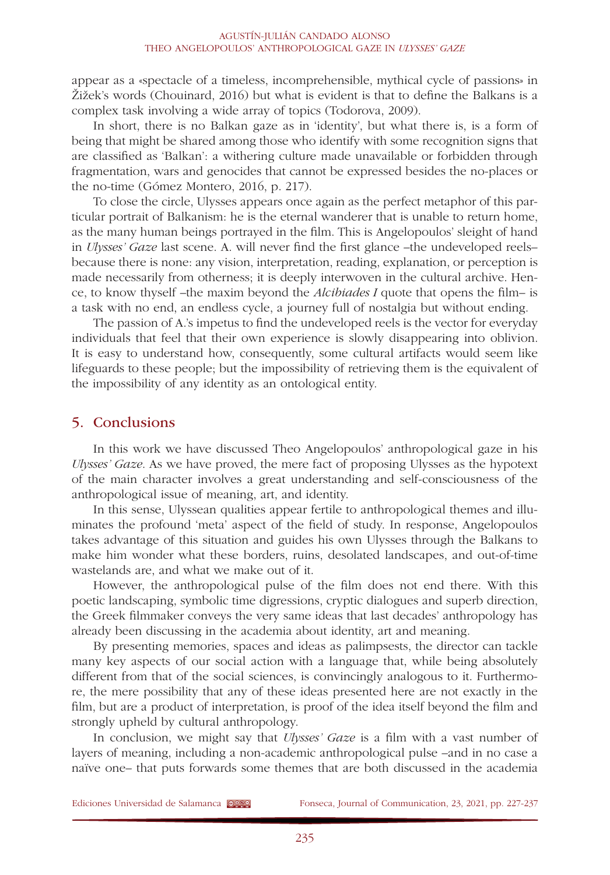appear as a «spectacle of a timeless, incomprehensible, mythical cycle of passions» in Žižek's words (Chouinard, 2016) but what is evident is that to define the Balkans is a complex task involving a wide array of topics (Todorova, 2009).

In short, there is no Balkan gaze as in 'identity', but what there is, is a form of being that might be shared among those who identify with some recognition signs that are classified as 'Balkan': a withering culture made unavailable or forbidden through fragmentation, wars and genocides that cannot be expressed besides the no-places or the no-time (Gómez Montero, 2016, p. 217).

To close the circle, Ulysses appears once again as the perfect metaphor of this particular portrait of Balkanism: he is the eternal wanderer that is unable to return home, as the many human beings portrayed in the film. This is Angelopoulos' sleight of hand in *Ulysses' Gaze* last scene. A. will never find the first glance –the undeveloped reels– because there is none: any vision, interpretation, reading, explanation, or perception is made necessarily from otherness; it is deeply interwoven in the cultural archive. Hence, to know thyself –the maxim beyond the *Alcibiades I* quote that opens the film– is a task with no end, an endless cycle, a journey full of nostalgia but without ending.

The passion of A.'s impetus to find the undeveloped reels is the vector for everyday individuals that feel that their own experience is slowly disappearing into oblivion. It is easy to understand how, consequently, some cultural artifacts would seem like lifeguards to these people; but the impossibility of retrieving them is the equivalent of the impossibility of any identity as an ontological entity.

### 5. Conclusions

In this work we have discussed Theo Angelopoulos' anthropological gaze in his *Ulysses' Gaze*. As we have proved, the mere fact of proposing Ulysses as the hypotext of the main character involves a great understanding and self-consciousness of the anthropological issue of meaning, art, and identity.

In this sense, Ulyssean qualities appear fertile to anthropological themes and illuminates the profound 'meta' aspect of the field of study. In response, Angelopoulos takes advantage of this situation and guides his own Ulysses through the Balkans to make him wonder what these borders, ruins, desolated landscapes, and out-of-time wastelands are, and what we make out of it.

However, the anthropological pulse of the film does not end there. With this poetic landscaping, symbolic time digressions, cryptic dialogues and superb direction, the Greek filmmaker conveys the very same ideas that last decades' anthropology has already been discussing in the academia about identity, art and meaning.

By presenting memories, spaces and ideas as palimpsests, the director can tackle many key aspects of our social action with a language that, while being absolutely different from that of the social sciences, is convincingly analogous to it. Furthermore, the mere possibility that any of these ideas presented here are not exactly in the film, but are a product of interpretation, is proof of the idea itself beyond the film and strongly upheld by cultural anthropology.

In conclusion, we might say that *Ulysses' Gaze* is a film with a vast number of layers of meaning, including a non-academic anthropological pulse –and in no case a naïve one– that puts forwards some themes that are both discussed in the academia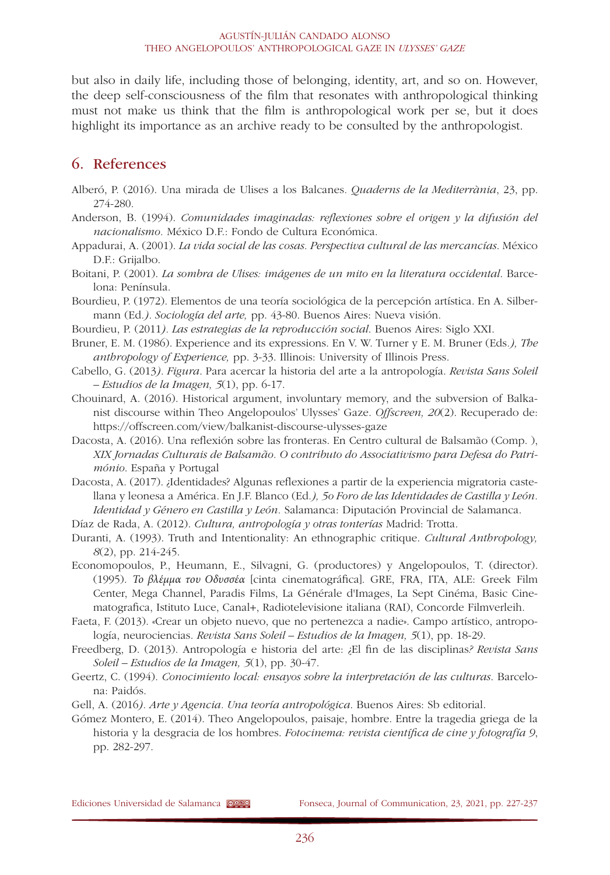but also in daily life, including those of belonging, identity, art, and so on. However, the deep self-consciousness of the film that resonates with anthropological thinking must not make us think that the film is anthropological work per se, but it does highlight its importance as an archive ready to be consulted by the anthropologist.

## 6. References

- Alberó, P. (2016). Una mirada de Ulises a los Balcanes*. Quaderns de la Mediterrània*, 23, pp. 274-280.
- Anderson, B. (1994). *Comunidades imaginadas: reflexiones sobre el origen y la difusión del nacionalismo.* México D.F.: Fondo de Cultura Económica.
- Appadurai, A. (2001). *La vida social de las cosas. Perspectiva cultural de las mercancías*. México D.F.: Grijalbo.
- Boitani, P. (2001). *La sombra de Ulises: imágenes de un mito en la literatura occidental*. Barcelona: Península.
- Bourdieu, P. (1972). Elementos de una teoría sociológica de la percepción artística. En A. Silbermann (Ed*.). Sociología del arte,* pp. 43-80. Buenos Aires: Nueva visión.
- Bourdieu, P. (2011*). Las estrategias de la reproducción social*. Buenos Aires: Siglo XXI.
- Bruner, E. M. (1986). Experience and its expressions. En V. W. Turner y E. M. Bruner (Eds*.), The anthropology of Experience,* pp. 3-33. Illinois: University of Illinois Press.
- Cabello, G. (2013*). Figura*. Para acercar la historia del arte a la antropología. *Revista Sans Soleil – Estudios de la Imagen, 5*(1), pp. 6-17.
- Chouinard, A. (2016). Historical argument, involuntary memory, and the subversion of Balkanist discourse within Theo Angelopoulos' Ulysses' Gaze. *Offscreen, 20*(2). Recuperado de: <https://offscreen.com/view/balkanist-discourse-ulysses-gaze>
- Dacosta, A. (2016). Una reflexión sobre las fronteras. En Centro cultural de Balsamão (Comp. ), *XIX Jornadas Culturais de Balsamão. O contributo do Associativismo para Defesa do Património*. España y Portugal
- Dacosta, A. (2017). ¿Identidades? Algunas reflexiones a partir de la experiencia migratoria castellana y leonesa a América. En J.F. Blanco (Ed*.), 5o Foro de las Identidades de Castilla y León. Identidad y Género en Castilla y León.* Salamanca: Diputación Provincial de Salamanca.
- Díaz de Rada, A. (2012). *Cultura, antropología y otras tonterías* Madrid: Trotta.
- Duranti, A. (1993). Truth and Intentionality: An ethnographic critique. *Cultural Anthropology, 8*(2), pp. 214-245.

Economopoulos, P., Heumann, E., Silvagni, G. (productores) y Angelopoulos, T. (director). (1995). *Το βλέμμα του Οδυσσέα* [cinta cinematográfica]. GRE, FRA, ITA, ALE: Greek Film Center, Mega Channel, Paradis Films, La Générale d'Images, La Sept Cinéma, Basic Cinematografica, Istituto Luce, Canal+, Radiotelevisione italiana (RAI), Concorde Filmverleih.

- Faeta, F. (2013). «Crear un objeto nuevo, que no pertenezca a nadie». Campo artístico, antropología, neurociencias. *Revista Sans Soleil – Estudios de la Imagen, 5*(1), pp. 18-29.
- Freedberg, D. (2013). Antropología e historia del arte: ¿El fin de las disciplinas*? Revista Sans Soleil – Estudios de la Imagen, 5*(1), pp. 30-47.
- Geertz, C. (1994). *Conocimiento local: ensayos sobre la interpretación de las culturas*. Barcelona: Paidós.
- Gell, A. (2016*). Arte y Agencia. Una teoría antropológica*. Buenos Aires: Sb editorial.

Gómez Montero, E. (2014). Theo Angelopoulos, paisaje, hombre. Entre la tragedia griega de la historia y la desgracia de los hombres. *Fotocinema: revista científica de cine y fotografía 9*, pp. 282-297.